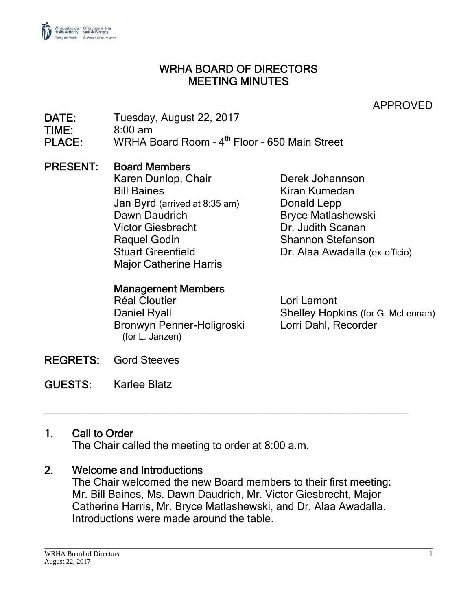

#### WRHA BOARD OF DIRECTORS MEETING MINUTES

APPROVED

DATE: Tuesday, August 22, 2017 TIME: 8:00 am PLACE: WRHA Board Room - 4<sup>th</sup> Floor - 650 Main Street

#### PRESENT: Board Members

Karen Dunlop, Chair **Derek Johannson** Bill Baines **Kiran Kumedan** Jan Byrd (arrived at 8:35 am) Donald Lepp Dawn Daudrich Bryce Matlashewski Victor Giesbrecht Dr. Judith Scanan Raquel Godin Shannon Stefanson Major Catherine Harris

Stuart Greenfield Dr. Alaa Awadalla (ex-officio)

#### Management Members

Réal Cloutier **Lori Lamont** Bronwyn Penner-Holigroski Lorri Dahl, Recorder (for L. Janzen)

Daniel Ryall Shelley Hopkins (for G. McLennan)

REGRETS: Gord Steeves

GUESTS: Karlee Blatz

#### 1. Call to Order

The Chair called the meeting to order at 8:00 a.m.

#### 2. Welcome and Introductions

The Chair welcomed the new Board members to their first meeting: Mr. Bill Baines, Ms. Dawn Daudrich, Mr. Victor Giesbrecht, Major Catherine Harris, Mr. Bryce Matlashewski, and Dr. Alaa Awadalla. Introductions were made around the table.

\_\_\_\_\_\_\_\_\_\_\_\_\_\_\_\_\_\_\_\_\_\_\_\_\_\_\_\_\_\_\_\_\_\_\_\_\_\_\_\_\_\_\_\_\_\_\_\_\_\_\_\_\_\_\_\_\_\_\_\_\_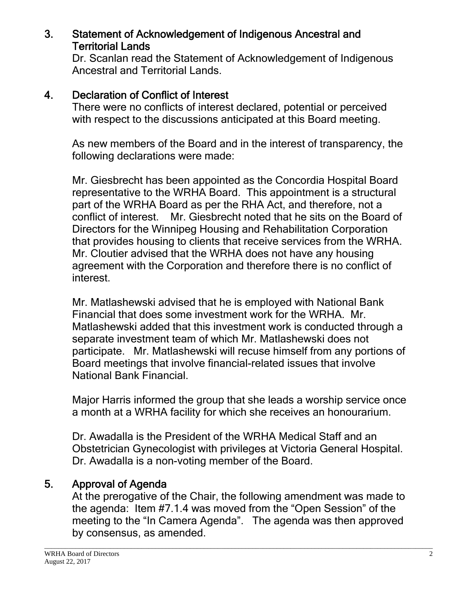#### 3. Statement of Acknowledgement of Indigenous Ancestral and Territorial Lands

Dr. Scanlan read the Statement of Acknowledgement of Indigenous Ancestral and Territorial Lands.

### 4. Declaration of Conflict of Interest

There were no conflicts of interest declared, potential or perceived with respect to the discussions anticipated at this Board meeting.

As new members of the Board and in the interest of transparency, the following declarations were made:

Mr. Giesbrecht has been appointed as the Concordia Hospital Board representative to the WRHA Board. This appointment is a structural part of the WRHA Board as per the RHA Act, and therefore, not a conflict of interest. Mr. Giesbrecht noted that he sits on the Board of Directors for the Winnipeg Housing and Rehabilitation Corporation that provides housing to clients that receive services from the WRHA. Mr. Cloutier advised that the WRHA does not have any housing agreement with the Corporation and therefore there is no conflict of interest.

Mr. Matlashewski advised that he is employed with National Bank Financial that does some investment work for the WRHA. Mr. Matlashewski added that this investment work is conducted through a separate investment team of which Mr. Matlashewski does not participate. Mr. Matlashewski will recuse himself from any portions of Board meetings that involve financial-related issues that involve National Bank Financial.

Major Harris informed the group that she leads a worship service once a month at a WRHA facility for which she receives an honourarium.

Dr. Awadalla is the President of the WRHA Medical Staff and an Obstetrician Gynecologist with privileges at Victoria General Hospital. Dr. Awadalla is a non-voting member of the Board.

#### 5. Approval of Agenda

At the prerogative of the Chair, the following amendment was made to the agenda: Item #7.1.4 was moved from the "Open Session" of the meeting to the "In Camera Agenda". The agenda was then approved by consensus, as amended.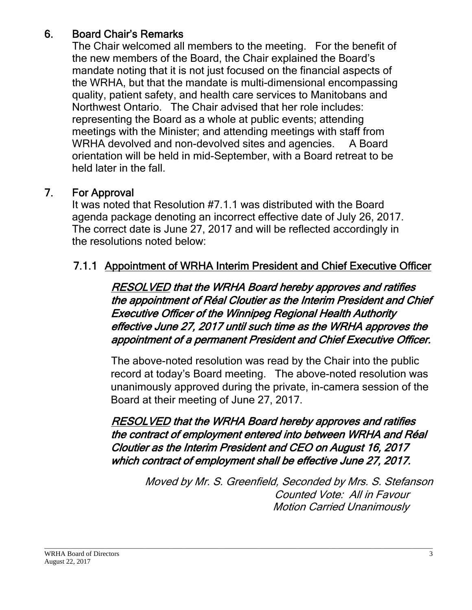# 6. Board Chair's Remarks

The Chair welcomed all members to the meeting. For the benefit of the new members of the Board, the Chair explained the Board's mandate noting that it is not just focused on the financial aspects of the WRHA, but that the mandate is multi-dimensional encompassing quality, patient safety, and health care services to Manitobans and Northwest Ontario. The Chair advised that her role includes: representing the Board as a whole at public events; attending meetings with the Minister; and attending meetings with staff from WRHA devolved and non-devolved sites and agencies. A Board orientation will be held in mid-September, with a Board retreat to be held later in the fall.

# 7. For Approval

It was noted that Resolution #7.1.1 was distributed with the Board agenda package denoting an incorrect effective date of July 26, 2017. The correct date is June 27, 2017 and will be reflected accordingly in the resolutions noted below:

# 7.1.1 Appointment of WRHA Interim President and Chief Executive Officer

RESOLVED that the WRHA Board hereby approves and ratifies the appointment of Réal Cloutier as the Interim President and Chief Executive Officer of the Winnipeg Regional Health Authority effective June 27, 2017 until such time as the WRHA approves the appointment of a permanent President and Chief Executive Officer.

The above-noted resolution was read by the Chair into the public record at today's Board meeting. The above-noted resolution was unanimously approved during the private, in-camera session of the Board at their meeting of June 27, 2017.

RESOLVED that the WRHA Board hereby approves and ratifies the contract of employment entered into between WRHA and Réal Cloutier as the Interim President and CEO on August 16, 2017 which contract of employment shall be effective June 27, 2017.

 Motion Carried Unanimously Moved by Mr. S. Greenfield, Seconded by Mrs. S. Stefanson Counted Vote: All in Favour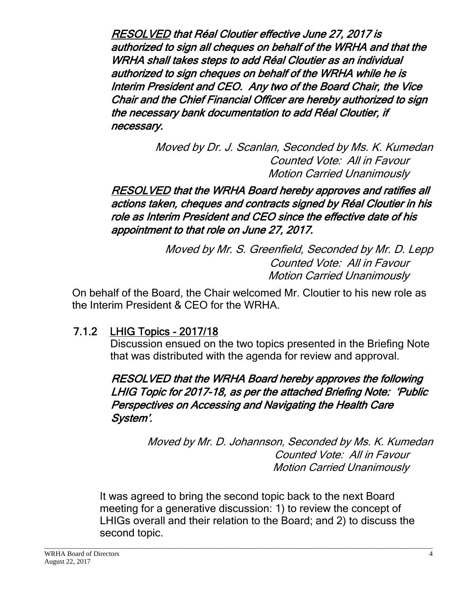RESOLVED that Réal Cloutier effective June 27, 2017 is authorized to sign all cheques on behalf of the WRHA and that the WRHA shall takes steps to add Réal Cloutier as an individual authorized to sign cheques on behalf of the WRHA while he is Interim President and CEO. Any two of the Board Chair, the Vice Chair and the Chief Financial Officer are hereby authorized to sign the necessary bank documentation to add Réal Cloutier, if necessary.

> Motion Carried Unanimously Moved by Dr. J. Scanlan, Seconded by Ms. K. Kumedan Counted Vote: All in Favour

RESOLVED that the WRHA Board hereby approves and ratifies all actions taken, cheques and contracts signed by Réal Cloutier in his role as Interim President and CEO since the effective date of his appointment to that role on June 27, 2017.

> Motion Carried Unanimously Moved by Mr. S. Greenfield, Seconded by Mr. D. Lepp Counted Vote: All in Favour

On behalf of the Board, the Chair welcomed Mr. Cloutier to his new role as the Interim President & CEO for the WRHA.

# 7.1.2 LHIG Topics - 2017/18

Discussion ensued on the two topics presented in the Briefing Note that was distributed with the agenda for review and approval.

### RESOLVED that the WRHA Board hereby approves the following LHIG Topic for 2017-18, as per the attached Briefing Note: 'Public Perspectives on Accessing and Navigating the Health Care System'.

 Motion Carried Unanimously Moved by Mr. D. Johannson, Seconded by Ms. K. Kumedan Counted Vote: All in Favour

It was agreed to bring the second topic back to the next Board meeting for a generative discussion: 1) to review the concept of LHIGs overall and their relation to the Board; and 2) to discuss the second topic.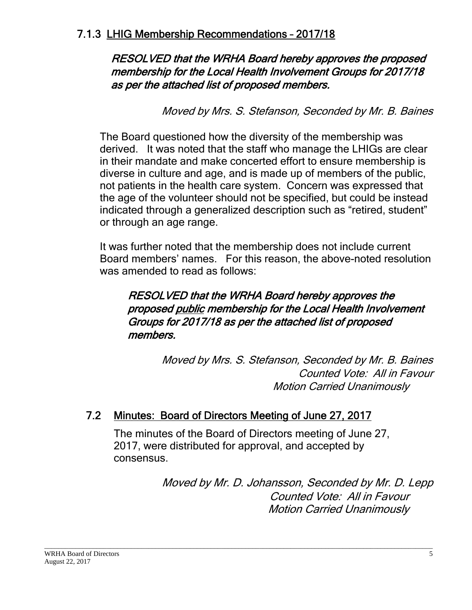#### RESOLVED that the WRHA Board hereby approves the proposed membership for the Local Health Involvement Groups for 2017/18 as per the attached list of proposed members.

Moved by Mrs. S. Stefanson, Seconded by Mr. B. Baines

The Board questioned how the diversity of the membership was derived. It was noted that the staff who manage the LHIGs are clear in their mandate and make concerted effort to ensure membership is diverse in culture and age, and is made up of members of the public, not patients in the health care system. Concern was expressed that the age of the volunteer should not be specified, but could be instead indicated through a generalized description such as "retired, student" or through an age range.

It was further noted that the membership does not include current Board members' names. For this reason, the above-noted resolution was amended to read as follows:

## RESOLVED that the WRHA Board hereby approves the proposed public membership for the Local Health Involvement Groups for 2017/18 as per the attached list of proposed members.

 Motion Carried Unanimously Moved by Mrs. S. Stefanson, Seconded by Mr. B. Baines Counted Vote: All in Favour

# 7.2 Minutes: Board of Directors Meeting of June 27, 2017

The minutes of the Board of Directors meeting of June 27, 2017, were distributed for approval, and accepted by consensus.

> Moved by Mr. D. Johansson, Seconded by Mr. D. Lepp Counted Vote: All in Favour Motion Carried Unanimously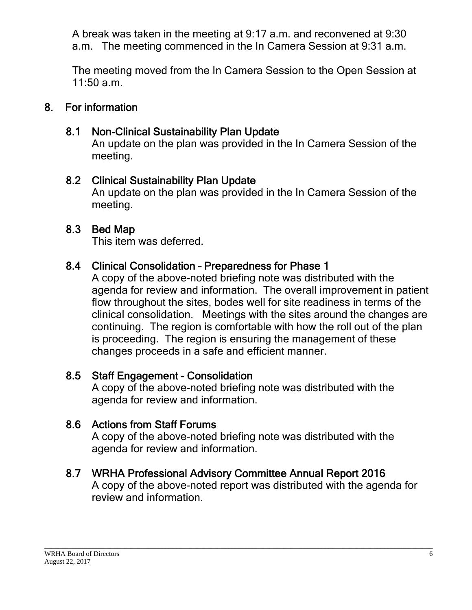A break was taken in the meeting at 9:17 a.m. and reconvened at 9:30 a.m. The meeting commenced in the In Camera Session at 9:31 a.m.

The meeting moved from the In Camera Session to the Open Session at 11:50 a.m.

#### 8. For information

## 8.1 Non-Clinical Sustainability Plan Update

An update on the plan was provided in the In Camera Session of the meeting.

#### 8.2 Clinical Sustainability Plan Update

An update on the plan was provided in the In Camera Session of the meeting.

#### 8.3 Bed Map

This item was deferred.

#### 8.4 Clinical Consolidation – Preparedness for Phase 1

A copy of the above-noted briefing note was distributed with the agenda for review and information. The overall improvement in patient flow throughout the sites, bodes well for site readiness in terms of the clinical consolidation. Meetings with the sites around the changes are continuing. The region is comfortable with how the roll out of the plan is proceeding. The region is ensuring the management of these changes proceeds in a safe and efficient manner.

#### 8.5 Staff Engagement – Consolidation

A copy of the above-noted briefing note was distributed with the agenda for review and information.

#### 8.6 Actions from Staff Forums

A copy of the above-noted briefing note was distributed with the agenda for review and information.

#### 8.7 WRHA Professional Advisory Committee Annual Report 2016

A copy of the above-noted report was distributed with the agenda for review and information.